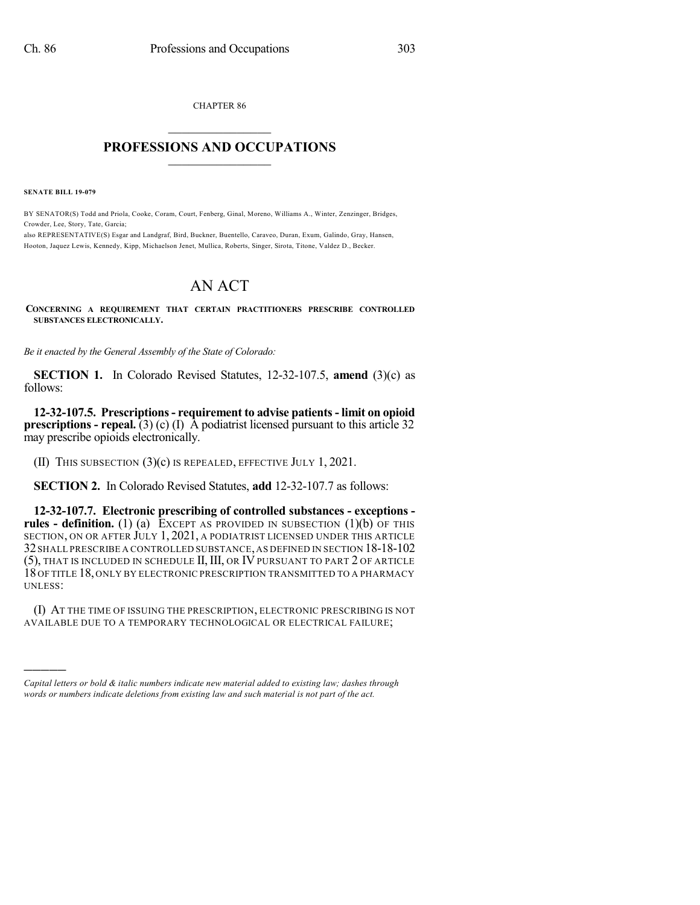CHAPTER 86  $\overline{\phantom{a}}$  . The set of the set of the set of the set of the set of the set of the set of the set of the set of the set of the set of the set of the set of the set of the set of the set of the set of the set of the set o

### **PROFESSIONS AND OCCUPATIONS**  $\frac{1}{2}$  ,  $\frac{1}{2}$  ,  $\frac{1}{2}$  ,  $\frac{1}{2}$  ,  $\frac{1}{2}$  ,  $\frac{1}{2}$  ,  $\frac{1}{2}$

**SENATE BILL 19-079**

)))))

BY SENATOR(S) Todd and Priola, Cooke, Coram, Court, Fenberg, Ginal, Moreno, Williams A., Winter, Zenzinger, Bridges, Crowder, Lee, Story, Tate, Garcia;

also REPRESENTATIVE(S) Esgar and Landgraf, Bird, Buckner, Buentello, Caraveo, Duran, Exum, Galindo, Gray, Hansen, Hooton, Jaquez Lewis, Kennedy, Kipp, Michaelson Jenet, Mullica, Roberts, Singer, Sirota, Titone, Valdez D., Becker.

## AN ACT

#### **CONCERNING A REQUIREMENT THAT CERTAIN PRACTITIONERS PRESCRIBE CONTROLLED SUBSTANCES ELECTRONICALLY.**

*Be it enacted by the General Assembly of the State of Colorado:*

**SECTION 1.** In Colorado Revised Statutes, 12-32-107.5, **amend** (3)(c) as follows:

**12-32-107.5. Prescriptions- requirement to advise patients- limit on opioid prescriptions - repeal.** (3) (c) (I)  $\overline{A}$  podiatrist licensed pursuant to this article 32 may prescribe opioids electronically.

(II) THIS SUBSECTION (3)(c) IS REPEALED, EFFECTIVE JULY 1, 2021.

**SECTION 2.** In Colorado Revised Statutes, **add** 12-32-107.7 as follows:

**12-32-107.7. Electronic prescribing of controlled substances - exceptions rules - definition.** (1) (a) EXCEPT AS PROVIDED IN SUBSECTION (1)(b) OF THIS SECTION, ON OR AFTER JULY 1, 2021, A PODIATRIST LICENSED UNDER THIS ARTICLE 32 SHALL PRESCRIBE A CONTROLLED SUBSTANCE,AS DEFINED IN SECTION 18-18-102 (5), THAT IS INCLUDED IN SCHEDULE II,III, OR IV PURSUANT TO PART 2 OF ARTICLE 18 OF TITLE 18, ONLY BY ELECTRONIC PRESCRIPTION TRANSMITTED TO A PHARMACY UNLESS:

(I) AT THE TIME OF ISSUING THE PRESCRIPTION, ELECTRONIC PRESCRIBING IS NOT AVAILABLE DUE TO A TEMPORARY TECHNOLOGICAL OR ELECTRICAL FAILURE;

*Capital letters or bold & italic numbers indicate new material added to existing law; dashes through words or numbers indicate deletions from existing law and such material is not part of the act.*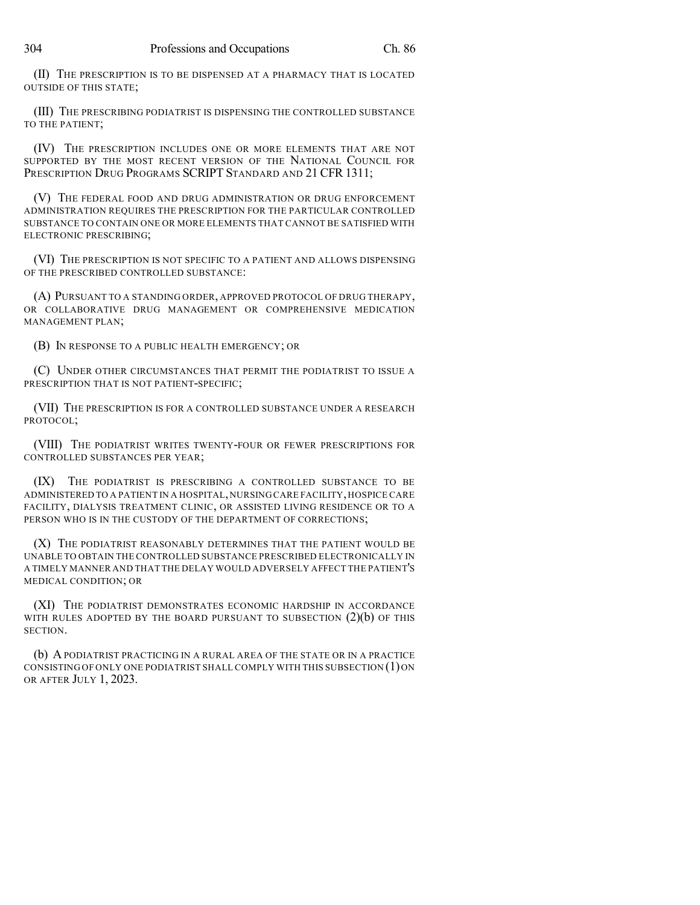(II) THE PRESCRIPTION IS TO BE DISPENSED AT A PHARMACY THAT IS LOCATED OUTSIDE OF THIS STATE;

(III) THE PRESCRIBING PODIATRIST IS DISPENSING THE CONTROLLED SUBSTANCE TO THE PATIENT;

(IV) THE PRESCRIPTION INCLUDES ONE OR MORE ELEMENTS THAT ARE NOT SUPPORTED BY THE MOST RECENT VERSION OF THE NATIONAL COUNCIL FOR PRESCRIPTION DRUG PROGRAMS SCRIPT STANDARD AND 21 CFR 1311;

(V) THE FEDERAL FOOD AND DRUG ADMINISTRATION OR DRUG ENFORCEMENT ADMINISTRATION REQUIRES THE PRESCRIPTION FOR THE PARTICULAR CONTROLLED SUBSTANCE TO CONTAIN ONE OR MORE ELEMENTS THAT CANNOT BE SATISFIED WITH ELECTRONIC PRESCRIBING;

(VI) THE PRESCRIPTION IS NOT SPECIFIC TO A PATIENT AND ALLOWS DISPENSING OF THE PRESCRIBED CONTROLLED SUBSTANCE:

(A) PURSUANT TO A STANDING ORDER, APPROVED PROTOCOL OF DRUG THERAPY, OR COLLABORATIVE DRUG MANAGEMENT OR COMPREHENSIVE MEDICATION MANAGEMENT PLAN;

(B) IN RESPONSE TO A PUBLIC HEALTH EMERGENCY; OR

(C) UNDER OTHER CIRCUMSTANCES THAT PERMIT THE PODIATRIST TO ISSUE A PRESCRIPTION THAT IS NOT PATIENT-SPECIFIC;

(VII) THE PRESCRIPTION IS FOR A CONTROLLED SUBSTANCE UNDER A RESEARCH PROTOCOL;

(VIII) THE PODIATRIST WRITES TWENTY-FOUR OR FEWER PRESCRIPTIONS FOR CONTROLLED SUBSTANCES PER YEAR;

(IX) THE PODIATRIST IS PRESCRIBING A CONTROLLED SUBSTANCE TO BE ADMINISTERED TO A PATIENT IN A HOSPITAL,NURSING CARE FACILITY,HOSPICE CARE FACILITY, DIALYSIS TREATMENT CLINIC, OR ASSISTED LIVING RESIDENCE OR TO A PERSON WHO IS IN THE CUSTODY OF THE DEPARTMENT OF CORRECTIONS;

(X) THE PODIATRIST REASONABLY DETERMINES THAT THE PATIENT WOULD BE UNABLE TO OBTAIN THE CONTROLLED SUBSTANCE PRESCRIBED ELECTRONICALLY IN A TIMELY MANNER AND THAT THE DELAY WOULD ADVERSELY AFFECT THE PATIENT'S MEDICAL CONDITION; OR

(XI) THE PODIATRIST DEMONSTRATES ECONOMIC HARDSHIP IN ACCORDANCE WITH RULES ADOPTED BY THE BOARD PURSUANT TO SUBSECTION  $(2)(b)$  OF THIS SECTION.

(b) A PODIATRIST PRACTICING IN A RURAL AREA OF THE STATE OR IN A PRACTICE CONSISTING OF ONLY ONE PODIATRIST SHALL COMPLY WITH THIS SUBSECTION (1)ON OR AFTER JULY 1, 2023.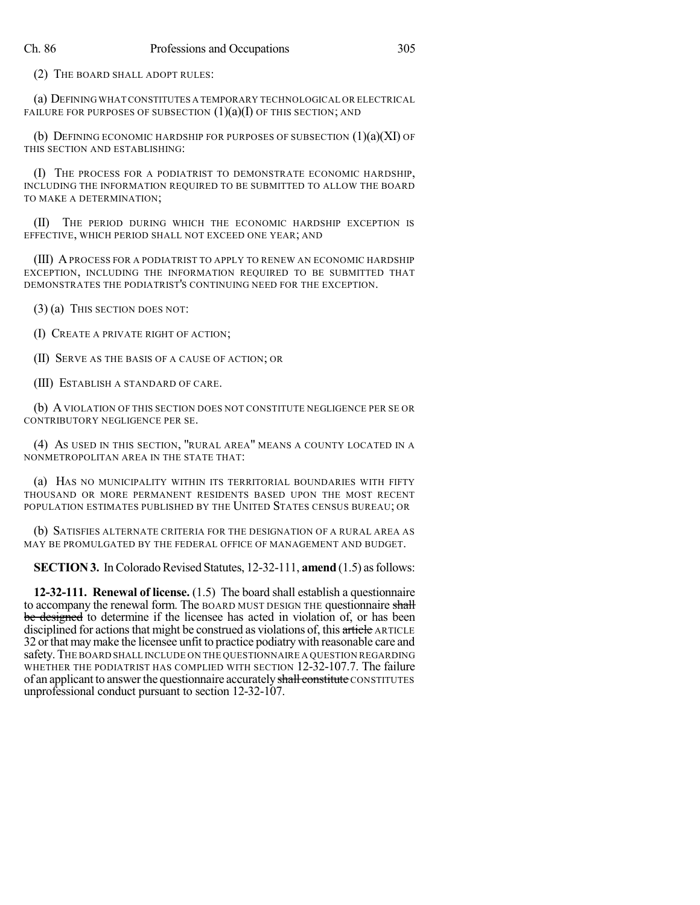(2) THE BOARD SHALL ADOPT RULES:

(a) DEFINING WHAT CONSTITUTES A TEMPORARY TECHNOLOGICAL OR ELECTRICAL FAILURE FOR PURPOSES OF SUBSECTION  $(1)(a)(I)$  OF THIS SECTION; AND

(b) DEFINING ECONOMIC HARDSHIP FOR PURPOSES OF SUBSECTION  $(1)(a)(XI)$  OF THIS SECTION AND ESTABLISHING:

(I) THE PROCESS FOR A PODIATRIST TO DEMONSTRATE ECONOMIC HARDSHIP, INCLUDING THE INFORMATION REQUIRED TO BE SUBMITTED TO ALLOW THE BOARD TO MAKE A DETERMINATION;

(II) THE PERIOD DURING WHICH THE ECONOMIC HARDSHIP EXCEPTION IS EFFECTIVE, WHICH PERIOD SHALL NOT EXCEED ONE YEAR; AND

(III) APROCESS FOR A PODIATRIST TO APPLY TO RENEW AN ECONOMIC HARDSHIP EXCEPTION, INCLUDING THE INFORMATION REQUIRED TO BE SUBMITTED THAT DEMONSTRATES THE PODIATRIST'S CONTINUING NEED FOR THE EXCEPTION.

(3) (a) THIS SECTION DOES NOT:

(I) CREATE A PRIVATE RIGHT OF ACTION;

(II) SERVE AS THE BASIS OF A CAUSE OF ACTION; OR

(III) ESTABLISH A STANDARD OF CARE.

(b) AVIOLATION OF THIS SECTION DOES NOT CONSTITUTE NEGLIGENCE PER SE OR CONTRIBUTORY NEGLIGENCE PER SE.

(4) AS USED IN THIS SECTION, "RURAL AREA" MEANS A COUNTY LOCATED IN A NONMETROPOLITAN AREA IN THE STATE THAT:

(a) HAS NO MUNICIPALITY WITHIN ITS TERRITORIAL BOUNDARIES WITH FIFTY THOUSAND OR MORE PERMANENT RESIDENTS BASED UPON THE MOST RECENT POPULATION ESTIMATES PUBLISHED BY THE UNITED STATES CENSUS BUREAU; OR

(b) SATISFIES ALTERNATE CRITERIA FOR THE DESIGNATION OF A RURAL AREA AS MAY BE PROMULGATED BY THE FEDERAL OFFICE OF MANAGEMENT AND BUDGET.

**SECTION 3.** In Colorado Revised Statutes, 12-32-111, **amend** (1.5) as follows:

**12-32-111. Renewal of license.** (1.5) The board shall establish a questionnaire to accompany the renewal form. The BOARD MUST DESIGN THE questionnaire shall be designed to determine if the licensee has acted in violation of, or has been disciplined for actions that might be construed as violations of, this article ARTICLE 32 orthat maymake the licensee unfit to practice podiatry with reasonable care and safety.THE BOARD SHALL INCLUDE ON THE QUESTIONNAIRE A QUESTION REGARDING WHETHER THE PODIATRIST HAS COMPLIED WITH SECTION 12-32-107.7. The failure of an applicant to answer the questionnaire accurately shall constitute CONSTITUTES unprofessional conduct pursuant to section 12-32-107.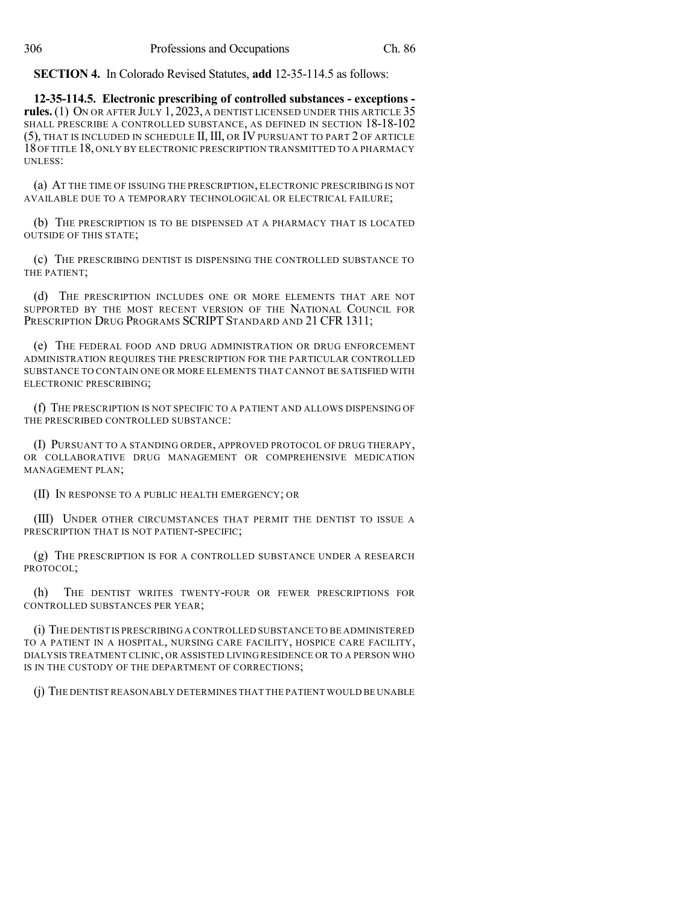**SECTION 4.** In Colorado Revised Statutes, **add** 12-35-114.5 as follows:

**12-35-114.5. Electronic prescribing of controlled substances - exceptions rules.** (1) ON OR AFTER JULY 1, 2023, A DENTIST LICENSED UNDER THIS ARTICLE 35 SHALL PRESCRIBE A CONTROLLED SUBSTANCE, AS DEFINED IN SECTION 18-18-102 (5), THAT IS INCLUDED IN SCHEDULE II, III, OR IV PURSUANT TO PART 2 OF ARTICLE 18OF TITLE 18, ONLY BY ELECTRONIC PRESCRIPTION TRANSMITTED TO A PHARMACY UNLESS:

(a) AT THE TIME OF ISSUING THE PRESCRIPTION, ELECTRONIC PRESCRIBING IS NOT AVAILABLE DUE TO A TEMPORARY TECHNOLOGICAL OR ELECTRICAL FAILURE;

(b) THE PRESCRIPTION IS TO BE DISPENSED AT A PHARMACY THAT IS LOCATED OUTSIDE OF THIS STATE;

(c) THE PRESCRIBING DENTIST IS DISPENSING THE CONTROLLED SUBSTANCE TO THE PATIENT;

(d) THE PRESCRIPTION INCLUDES ONE OR MORE ELEMENTS THAT ARE NOT SUPPORTED BY THE MOST RECENT VERSION OF THE NATIONAL COUNCIL FOR PRESCRIPTION DRUG PROGRAMS SCRIPT STANDARD AND 21 CFR 1311;

(e) THE FEDERAL FOOD AND DRUG ADMINISTRATION OR DRUG ENFORCEMENT ADMINISTRATION REQUIRES THE PRESCRIPTION FOR THE PARTICULAR CONTROLLED SUBSTANCE TO CONTAIN ONE OR MORE ELEMENTS THAT CANNOT BE SATISFIED WITH ELECTRONIC PRESCRIBING;

(f) THE PRESCRIPTION IS NOT SPECIFIC TO A PATIENT AND ALLOWS DISPENSING OF THE PRESCRIBED CONTROLLED SUBSTANCE:

(I) PURSUANT TO A STANDING ORDER, APPROVED PROTOCOL OF DRUG THERAPY, OR COLLABORATIVE DRUG MANAGEMENT OR COMPREHENSIVE MEDICATION MANAGEMENT PLAN;

(II) IN RESPONSE TO A PUBLIC HEALTH EMERGENCY; OR

(III) UNDER OTHER CIRCUMSTANCES THAT PERMIT THE DENTIST TO ISSUE A PRESCRIPTION THAT IS NOT PATIENT-SPECIFIC;

(g) THE PRESCRIPTION IS FOR A CONTROLLED SUBSTANCE UNDER A RESEARCH PROTOCOL;

(h) THE DENTIST WRITES TWENTY-FOUR OR FEWER PRESCRIPTIONS FOR CONTROLLED SUBSTANCES PER YEAR;

(i) THE DENTIST IS PRESCRIBING A CONTROLLED SUBSTANCE TO BE ADMINISTERED TO A PATIENT IN A HOSPITAL, NURSING CARE FACILITY, HOSPICE CARE FACILITY, DIALYSIS TREATMENT CLINIC, OR ASSISTED LIVING RESIDENCE OR TO A PERSON WHO IS IN THE CUSTODY OF THE DEPARTMENT OF CORRECTIONS;

(j) THE DENTIST REASONABLY DETERMINES THAT THE PATIENT WOULD BE UNABLE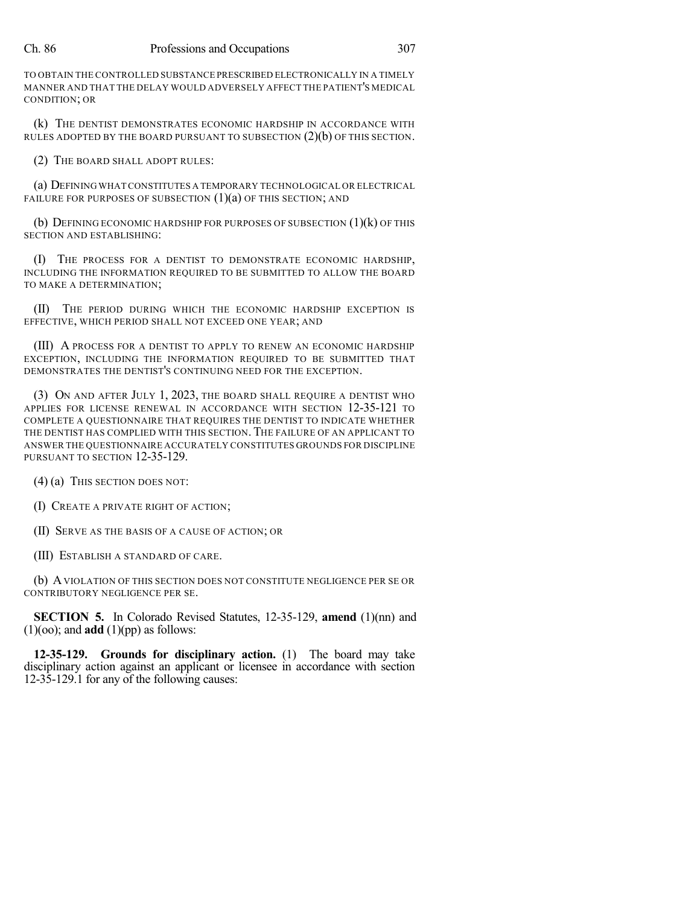#### Ch. 86 Professions and Occupations 307

TO OBTAIN THE CONTROLLED SUBSTANCE PRESCRIBED ELECTRONICALLY IN A TIMELY MANNER AND THAT THE DELAY WOULD ADVERSELY AFFECT THE PATIENT'S MEDICAL CONDITION; OR

(k) THE DENTIST DEMONSTRATES ECONOMIC HARDSHIP IN ACCORDANCE WITH RULES ADOPTED BY THE BOARD PURSUANT TO SUBSECTION  $(2)(b)$  OF THIS SECTION.

(2) THE BOARD SHALL ADOPT RULES:

(a) DEFINING WHAT CONSTITUTES A TEMPORARY TECHNOLOGICAL OR ELECTRICAL FAILURE FOR PURPOSES OF SUBSECTION  $(1)(a)$  OF THIS SECTION; AND

(b) DEFINING ECONOMIC HARDSHIP FOR PURPOSES OF SUBSECTION  $(1)(k)$  OF THIS SECTION AND ESTABLISHING:

(I) THE PROCESS FOR A DENTIST TO DEMONSTRATE ECONOMIC HARDSHIP, INCLUDING THE INFORMATION REQUIRED TO BE SUBMITTED TO ALLOW THE BOARD TO MAKE A DETERMINATION;

(II) THE PERIOD DURING WHICH THE ECONOMIC HARDSHIP EXCEPTION IS EFFECTIVE, WHICH PERIOD SHALL NOT EXCEED ONE YEAR; AND

(III) A PROCESS FOR A DENTIST TO APPLY TO RENEW AN ECONOMIC HARDSHIP EXCEPTION, INCLUDING THE INFORMATION REQUIRED TO BE SUBMITTED THAT DEMONSTRATES THE DENTIST'S CONTINUING NEED FOR THE EXCEPTION.

(3) ON AND AFTER JULY 1, 2023, THE BOARD SHALL REQUIRE A DENTIST WHO APPLIES FOR LICENSE RENEWAL IN ACCORDANCE WITH SECTION 12-35-121 TO COMPLETE A QUESTIONNAIRE THAT REQUIRES THE DENTIST TO INDICATE WHETHER THE DENTIST HAS COMPLIED WITH THIS SECTION. THE FAILURE OF AN APPLICANT TO ANSWER THE QUESTIONNAIRE ACCURATELY CONSTITUTES GROUNDS FOR DISCIPLINE PURSUANT TO SECTION 12-35-129.

(4) (a) THIS SECTION DOES NOT:

(I) CREATE A PRIVATE RIGHT OF ACTION;

(II) SERVE AS THE BASIS OF A CAUSE OF ACTION; OR

(III) ESTABLISH A STANDARD OF CARE.

(b) AVIOLATION OF THIS SECTION DOES NOT CONSTITUTE NEGLIGENCE PER SE OR CONTRIBUTORY NEGLIGENCE PER SE.

**SECTION 5.** In Colorado Revised Statutes, 12-35-129, **amend** (1)(nn) and  $(1)(oo)$ ; and **add**  $(1)(pp)$  as follows:

**12-35-129. Grounds for disciplinary action.** (1) The board may take disciplinary action against an applicant or licensee in accordance with section 12-35-129.1 for any of the following causes: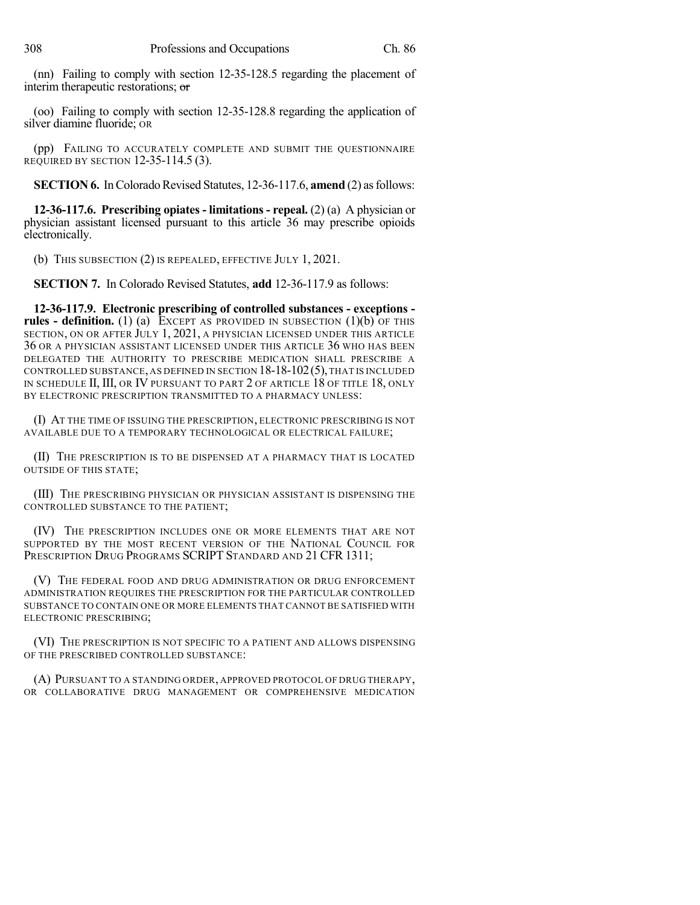(nn) Failing to comply with section 12-35-128.5 regarding the placement of interim therapeutic restorations; or

(oo) Failing to comply with section 12-35-128.8 regarding the application of silver diamine fluoride; OR

(pp) FAILING TO ACCURATELY COMPLETE AND SUBMIT THE QUESTIONNAIRE REQUIRED BY SECTION 12-35-114.5 (3).

**SECTION 6.** In Colorado Revised Statutes, 12-36-117.6, **amend** (2) as follows:

**12-36-117.6. Prescribing opiates - limitations - repeal.** (2) (a) A physician or physician assistant licensed pursuant to this article 36 may prescribe opioids electronically.

(b) THIS SUBSECTION (2) IS REPEALED, EFFECTIVE JULY 1, 2021.

**SECTION 7.** In Colorado Revised Statutes, **add** 12-36-117.9 as follows:

**12-36-117.9. Electronic prescribing of controlled substances - exceptions rules - definition.** (1) (a) EXCEPT AS PROVIDED IN SUBSECTION (1)(b) OF THIS SECTION, ON OR AFTER JULY 1, 2021, A PHYSICIAN LICENSED UNDER THIS ARTICLE 36 OR A PHYSICIAN ASSISTANT LICENSED UNDER THIS ARTICLE 36 WHO HAS BEEN DELEGATED THE AUTHORITY TO PRESCRIBE MEDICATION SHALL PRESCRIBE A CONTROLLED SUBSTANCE, AS DEFINED IN SECTION  $18-18-102(5)$ , THAT IS INCLUDED IN SCHEDULE II, III, OR IV PURSUANT TO PART 2 OF ARTICLE 18 OF TITLE 18, ONLY BY ELECTRONIC PRESCRIPTION TRANSMITTED TO A PHARMACY UNLESS:

(I) AT THE TIME OF ISSUING THE PRESCRIPTION, ELECTRONIC PRESCRIBING IS NOT AVAILABLE DUE TO A TEMPORARY TECHNOLOGICAL OR ELECTRICAL FAILURE;

(II) THE PRESCRIPTION IS TO BE DISPENSED AT A PHARMACY THAT IS LOCATED OUTSIDE OF THIS STATE;

(III) THE PRESCRIBING PHYSICIAN OR PHYSICIAN ASSISTANT IS DISPENSING THE CONTROLLED SUBSTANCE TO THE PATIENT;

(IV) THE PRESCRIPTION INCLUDES ONE OR MORE ELEMENTS THAT ARE NOT SUPPORTED BY THE MOST RECENT VERSION OF THE NATIONAL COUNCIL FOR PRESCRIPTION DRUG PROGRAMS SCRIPT STANDARD AND 21 CFR 1311;

(V) THE FEDERAL FOOD AND DRUG ADMINISTRATION OR DRUG ENFORCEMENT ADMINISTRATION REQUIRES THE PRESCRIPTION FOR THE PARTICULAR CONTROLLED SUBSTANCE TO CONTAIN ONE OR MORE ELEMENTS THAT CANNOT BE SATISFIED WITH ELECTRONIC PRESCRIBING;

(VI) THE PRESCRIPTION IS NOT SPECIFIC TO A PATIENT AND ALLOWS DISPENSING OF THE PRESCRIBED CONTROLLED SUBSTANCE:

(A) PURSUANT TO A STANDING ORDER, APPROVED PROTOCOL OF DRUG THERAPY, OR COLLABORATIVE DRUG MANAGEMENT OR COMPREHENSIVE MEDICATION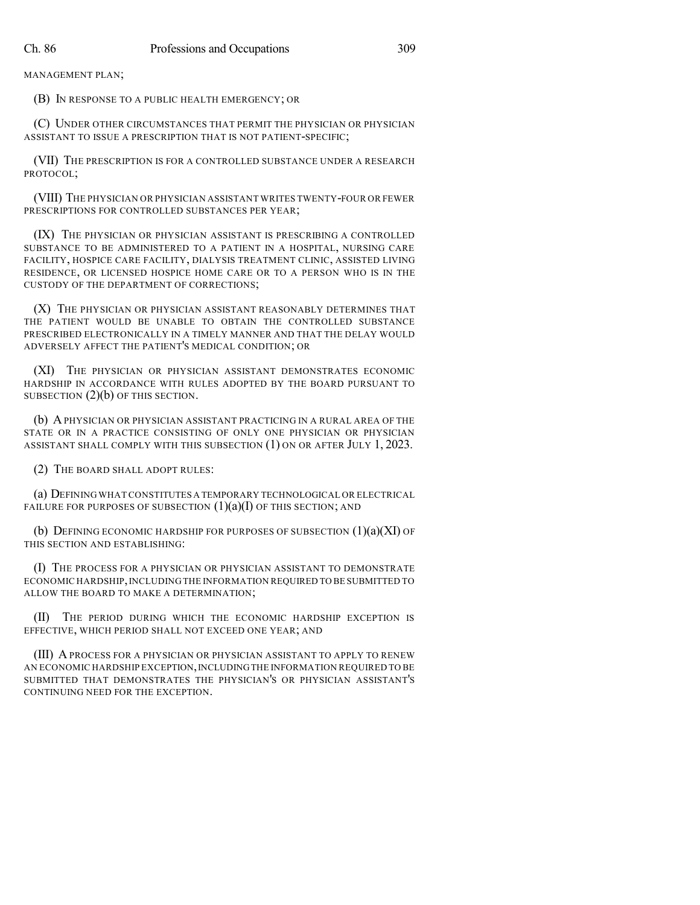MANAGEMENT PLAN;

(B) IN RESPONSE TO A PUBLIC HEALTH EMERGENCY; OR

(C) UNDER OTHER CIRCUMSTANCES THAT PERMIT THE PHYSICIAN OR PHYSICIAN ASSISTANT TO ISSUE A PRESCRIPTION THAT IS NOT PATIENT-SPECIFIC;

(VII) THE PRESCRIPTION IS FOR A CONTROLLED SUBSTANCE UNDER A RESEARCH PROTOCOL;

(VIII) THE PHYSICIAN OR PHYSICIAN ASSISTANT WRITES TWENTY-FOUR OR FEWER PRESCRIPTIONS FOR CONTROLLED SUBSTANCES PER YEAR;

(IX) THE PHYSICIAN OR PHYSICIAN ASSISTANT IS PRESCRIBING A CONTROLLED SUBSTANCE TO BE ADMINISTERED TO A PATIENT IN A HOSPITAL, NURSING CARE FACILITY, HOSPICE CARE FACILITY, DIALYSIS TREATMENT CLINIC, ASSISTED LIVING RESIDENCE, OR LICENSED HOSPICE HOME CARE OR TO A PERSON WHO IS IN THE CUSTODY OF THE DEPARTMENT OF CORRECTIONS;

(X) THE PHYSICIAN OR PHYSICIAN ASSISTANT REASONABLY DETERMINES THAT THE PATIENT WOULD BE UNABLE TO OBTAIN THE CONTROLLED SUBSTANCE PRESCRIBED ELECTRONICALLY IN A TIMELY MANNER AND THAT THE DELAY WOULD ADVERSELY AFFECT THE PATIENT'S MEDICAL CONDITION; OR

(XI) THE PHYSICIAN OR PHYSICIAN ASSISTANT DEMONSTRATES ECONOMIC HARDSHIP IN ACCORDANCE WITH RULES ADOPTED BY THE BOARD PURSUANT TO SUBSECTION (2)(b) OF THIS SECTION.

(b) APHYSICIAN OR PHYSICIAN ASSISTANT PRACTICING IN A RURAL AREA OF THE STATE OR IN A PRACTICE CONSISTING OF ONLY ONE PHYSICIAN OR PHYSICIAN ASSISTANT SHALL COMPLY WITH THIS SUBSECTION (1) ON OR AFTER JULY 1, 2023.

(2) THE BOARD SHALL ADOPT RULES:

(a) DEFINING WHAT CONSTITUTES A TEMPORARY TECHNOLOGICAL OR ELECTRICAL FAILURE FOR PURPOSES OF SUBSECTION  $(1)(a)(I)$  OF THIS SECTION; AND

(b) DEFINING ECONOMIC HARDSHIP FOR PURPOSES OF SUBSECTION  $(1)(a)(XI)$  OF THIS SECTION AND ESTABLISHING:

(I) THE PROCESS FOR A PHYSICIAN OR PHYSICIAN ASSISTANT TO DEMONSTRATE ECONOMIC HARDSHIP,INCLUDINGTHE INFORMATION REQUIRED TO BE SUBMITTED TO ALLOW THE BOARD TO MAKE A DETERMINATION;

(II) THE PERIOD DURING WHICH THE ECONOMIC HARDSHIP EXCEPTION IS EFFECTIVE, WHICH PERIOD SHALL NOT EXCEED ONE YEAR; AND

(III) A PROCESS FOR A PHYSICIAN OR PHYSICIAN ASSISTANT TO APPLY TO RENEW AN ECONOMIC HARDSHIP EXCEPTION,INCLUDINGTHE INFORMATION REQUIRED TO BE SUBMITTED THAT DEMONSTRATES THE PHYSICIAN'S OR PHYSICIAN ASSISTANT'S CONTINUING NEED FOR THE EXCEPTION.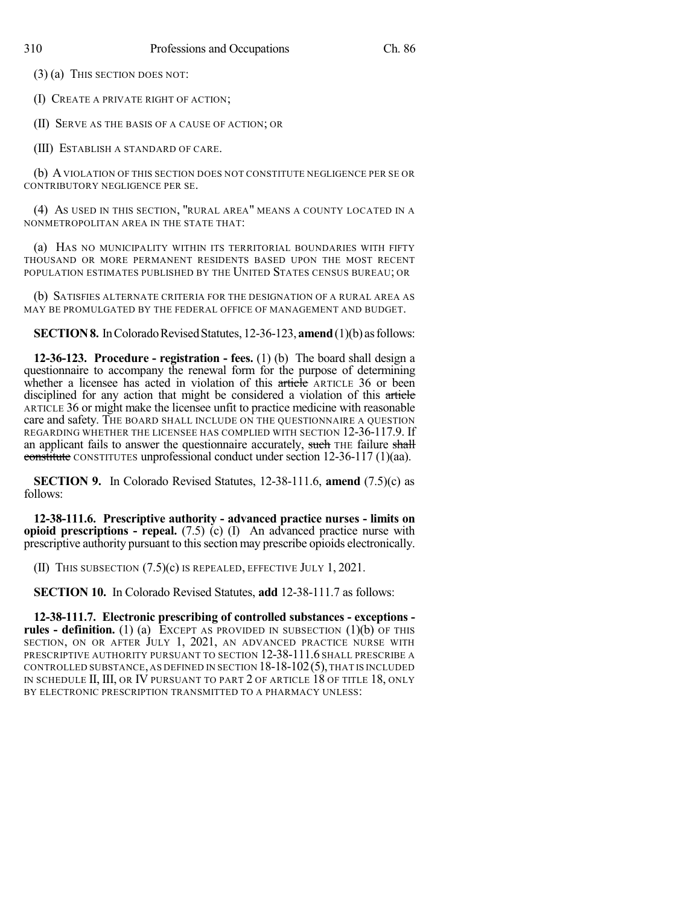(3) (a) THIS SECTION DOES NOT:

(I) CREATE A PRIVATE RIGHT OF ACTION;

(II) SERVE AS THE BASIS OF A CAUSE OF ACTION; OR

(III) ESTABLISH A STANDARD OF CARE.

(b) AVIOLATION OF THIS SECTION DOES NOT CONSTITUTE NEGLIGENCE PER SE OR CONTRIBUTORY NEGLIGENCE PER SE.

(4) AS USED IN THIS SECTION, "RURAL AREA" MEANS A COUNTY LOCATED IN A NONMETROPOLITAN AREA IN THE STATE THAT:

(a) HAS NO MUNICIPALITY WITHIN ITS TERRITORIAL BOUNDARIES WITH FIFTY THOUSAND OR MORE PERMANENT RESIDENTS BASED UPON THE MOST RECENT POPULATION ESTIMATES PUBLISHED BY THE UNITED STATES CENSUS BUREAU; OR

(b) SATISFIES ALTERNATE CRITERIA FOR THE DESIGNATION OF A RURAL AREA AS MAY BE PROMULGATED BY THE FEDERAL OFFICE OF MANAGEMENT AND BUDGET.

**SECTION 8.** In Colorado Revised Statutes, 12-36-123, **amend** (1)(b) as follows:

**12-36-123. Procedure - registration - fees.** (1) (b) The board shall design a questionnaire to accompany the renewal form for the purpose of determining whether a licensee has acted in violation of this article ARTICLE 36 or been disciplined for any action that might be considered a violation of this article ARTICLE 36 or might make the licensee unfit to practice medicine with reasonable care and safety. THE BOARD SHALL INCLUDE ON THE QUESTIONNAIRE A QUESTION REGARDING WHETHER THE LICENSEE HAS COMPLIED WITH SECTION 12-36-117.9. If an applicant fails to answer the questionnaire accurately, such THE failure shall constitute CONSTITUTES unprofessional conduct under section 12-36-117 (1)(aa).

**SECTION 9.** In Colorado Revised Statutes, 12-38-111.6, **amend** (7.5)(c) as follows:

**12-38-111.6. Prescriptive authority - advanced practice nurses - limits on opioid prescriptions - repeal.** (7.5) (c) (I) An advanced practice nurse with prescriptive authority pursuant to this section may prescribe opioids electronically.

(II) THIS SUBSECTION (7.5)(c) IS REPEALED, EFFECTIVE JULY 1, 2021.

**SECTION 10.** In Colorado Revised Statutes, **add** 12-38-111.7 as follows:

**12-38-111.7. Electronic prescribing of controlled substances - exceptions rules - definition.** (1) (a) EXCEPT AS PROVIDED IN SUBSECTION (1)(b) OF THIS SECTION, ON OR AFTER JULY 1, 2021, AN ADVANCED PRACTICE NURSE WITH PRESCRIPTIVE AUTHORITY PURSUANT TO SECTION 12-38-111.6 SHALL PRESCRIBE A CONTROLLED SUBSTANCE, AS DEFINED IN SECTION  $18-18-102(5)$ , THAT IS INCLUDED IN SCHEDULE II, III, OR IV PURSUANT TO PART 2 OF ARTICLE 18 OF TITLE 18, ONLY BY ELECTRONIC PRESCRIPTION TRANSMITTED TO A PHARMACY UNLESS: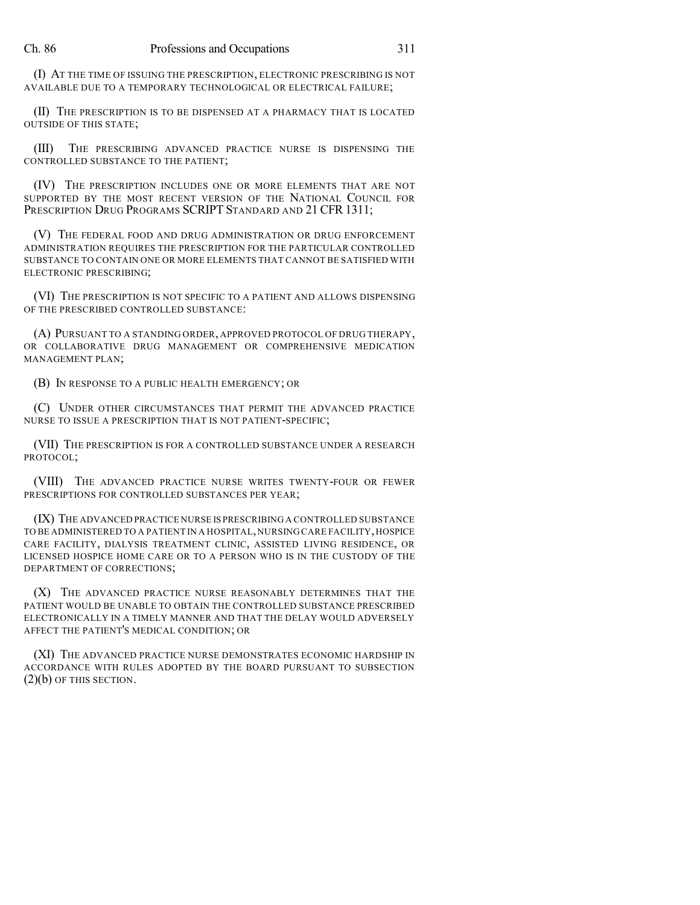(I) AT THE TIME OF ISSUING THE PRESCRIPTION, ELECTRONIC PRESCRIBING IS NOT AVAILABLE DUE TO A TEMPORARY TECHNOLOGICAL OR ELECTRICAL FAILURE;

(II) THE PRESCRIPTION IS TO BE DISPENSED AT A PHARMACY THAT IS LOCATED OUTSIDE OF THIS STATE;

(III) THE PRESCRIBING ADVANCED PRACTICE NURSE IS DISPENSING THE CONTROLLED SUBSTANCE TO THE PATIENT;

(IV) THE PRESCRIPTION INCLUDES ONE OR MORE ELEMENTS THAT ARE NOT SUPPORTED BY THE MOST RECENT VERSION OF THE NATIONAL COUNCIL FOR PRESCRIPTION DRUG PROGRAMS SCRIPT STANDARD AND 21 CFR 1311;

(V) THE FEDERAL FOOD AND DRUG ADMINISTRATION OR DRUG ENFORCEMENT ADMINISTRATION REQUIRES THE PRESCRIPTION FOR THE PARTICULAR CONTROLLED SUBSTANCE TO CONTAIN ONE OR MORE ELEMENTS THAT CANNOT BE SATISFIED WITH ELECTRONIC PRESCRIBING;

(VI) THE PRESCRIPTION IS NOT SPECIFIC TO A PATIENT AND ALLOWS DISPENSING OF THE PRESCRIBED CONTROLLED SUBSTANCE:

(A) PURSUANT TO A STANDING ORDER, APPROVED PROTOCOL OF DRUG THERAPY, OR COLLABORATIVE DRUG MANAGEMENT OR COMPREHENSIVE MEDICATION MANAGEMENT PLAN;

(B) IN RESPONSE TO A PUBLIC HEALTH EMERGENCY; OR

(C) UNDER OTHER CIRCUMSTANCES THAT PERMIT THE ADVANCED PRACTICE NURSE TO ISSUE A PRESCRIPTION THAT IS NOT PATIENT-SPECIFIC;

(VII) THE PRESCRIPTION IS FOR A CONTROLLED SUBSTANCE UNDER A RESEARCH PROTOCOL;

(VIII) THE ADVANCED PRACTICE NURSE WRITES TWENTY-FOUR OR FEWER PRESCRIPTIONS FOR CONTROLLED SUBSTANCES PER YEAR;

(IX) THE ADVANCED PRACTICE NURSE IS PRESCRIBING A CONTROLLED SUBSTANCE TO BE ADMINISTERED TO A PATIENT IN A HOSPITAL,NURSING CARE FACILITY,HOSPICE CARE FACILITY, DIALYSIS TREATMENT CLINIC, ASSISTED LIVING RESIDENCE, OR LICENSED HOSPICE HOME CARE OR TO A PERSON WHO IS IN THE CUSTODY OF THE DEPARTMENT OF CORRECTIONS;

(X) THE ADVANCED PRACTICE NURSE REASONABLY DETERMINES THAT THE PATIENT WOULD BE UNABLE TO OBTAIN THE CONTROLLED SUBSTANCE PRESCRIBED ELECTRONICALLY IN A TIMELY MANNER AND THAT THE DELAY WOULD ADVERSELY AFFECT THE PATIENT'S MEDICAL CONDITION; OR

(XI) THE ADVANCED PRACTICE NURSE DEMONSTRATES ECONOMIC HARDSHIP IN ACCORDANCE WITH RULES ADOPTED BY THE BOARD PURSUANT TO SUBSECTION (2)(b) OF THIS SECTION.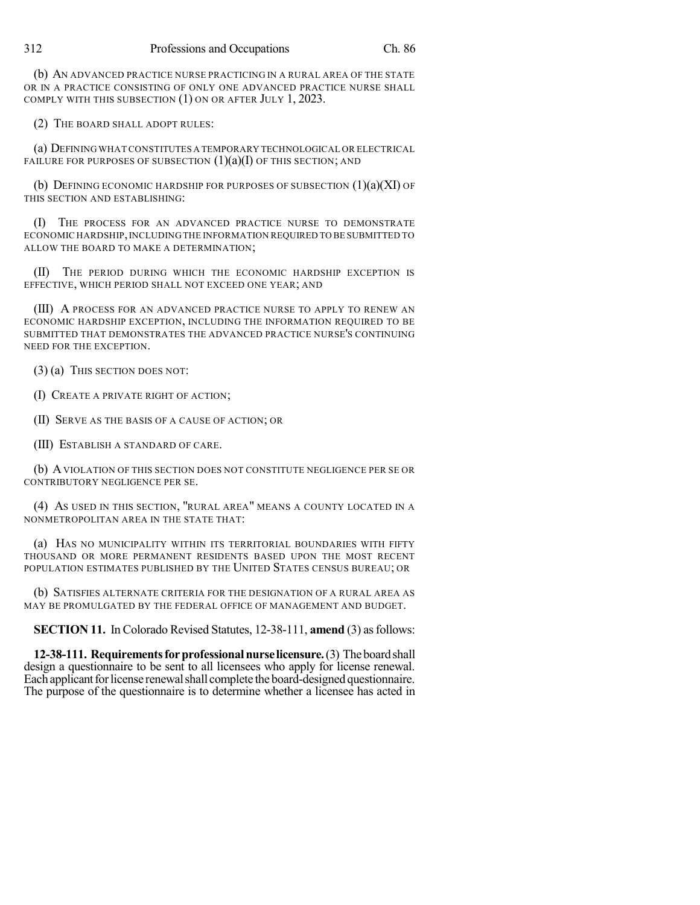(b) AN ADVANCED PRACTICE NURSE PRACTICING IN A RURAL AREA OF THE STATE OR IN A PRACTICE CONSISTING OF ONLY ONE ADVANCED PRACTICE NURSE SHALL COMPLY WITH THIS SUBSECTION (1) ON OR AFTER JULY 1, 2023.

(2) THE BOARD SHALL ADOPT RULES:

(a) DEFINING WHAT CONSTITUTES A TEMPORARY TECHNOLOGICAL OR ELECTRICAL FAILURE FOR PURPOSES OF SUBSECTION  $(1)(a)(I)$  OF THIS SECTION; AND

(b) DEFINING ECONOMIC HARDSHIP FOR PURPOSES OF SUBSECTION  $(1)(a)(XI)$  OF THIS SECTION AND ESTABLISHING:

(I) THE PROCESS FOR AN ADVANCED PRACTICE NURSE TO DEMONSTRATE ECONOMIC HARDSHIP, INCLUDING THE INFORMATION REQUIRED TO BE SUBMITTED TO ALLOW THE BOARD TO MAKE A DETERMINATION;

(II) THE PERIOD DURING WHICH THE ECONOMIC HARDSHIP EXCEPTION IS EFFECTIVE, WHICH PERIOD SHALL NOT EXCEED ONE YEAR; AND

(III) A PROCESS FOR AN ADVANCED PRACTICE NURSE TO APPLY TO RENEW AN ECONOMIC HARDSHIP EXCEPTION, INCLUDING THE INFORMATION REQUIRED TO BE SUBMITTED THAT DEMONSTRATES THE ADVANCED PRACTICE NURSE'S CONTINUING NEED FOR THE EXCEPTION.

(3) (a) THIS SECTION DOES NOT:

(I) CREATE A PRIVATE RIGHT OF ACTION;

(II) SERVE AS THE BASIS OF A CAUSE OF ACTION; OR

(III) ESTABLISH A STANDARD OF CARE.

(b) AVIOLATION OF THIS SECTION DOES NOT CONSTITUTE NEGLIGENCE PER SE OR CONTRIBUTORY NEGLIGENCE PER SE.

(4) AS USED IN THIS SECTION, "RURAL AREA" MEANS A COUNTY LOCATED IN A NONMETROPOLITAN AREA IN THE STATE THAT:

(a) HAS NO MUNICIPALITY WITHIN ITS TERRITORIAL BOUNDARIES WITH FIFTY THOUSAND OR MORE PERMANENT RESIDENTS BASED UPON THE MOST RECENT POPULATION ESTIMATES PUBLISHED BY THE UNITED STATES CENSUS BUREAU; OR

(b) SATISFIES ALTERNATE CRITERIA FOR THE DESIGNATION OF A RURAL AREA AS MAY BE PROMULGATED BY THE FEDERAL OFFICE OF MANAGEMENT AND BUDGET.

**SECTION 11.** In Colorado Revised Statutes, 12-38-111, **amend** (3) as follows:

**12-38-111. Requirementsforprofessionalnurse licensure.**(3) Theboardshall design a questionnaire to be sent to all licensees who apply for license renewal. Each applicant for license renewal shall complete the board-designed questionnaire. The purpose of the questionnaire is to determine whether a licensee has acted in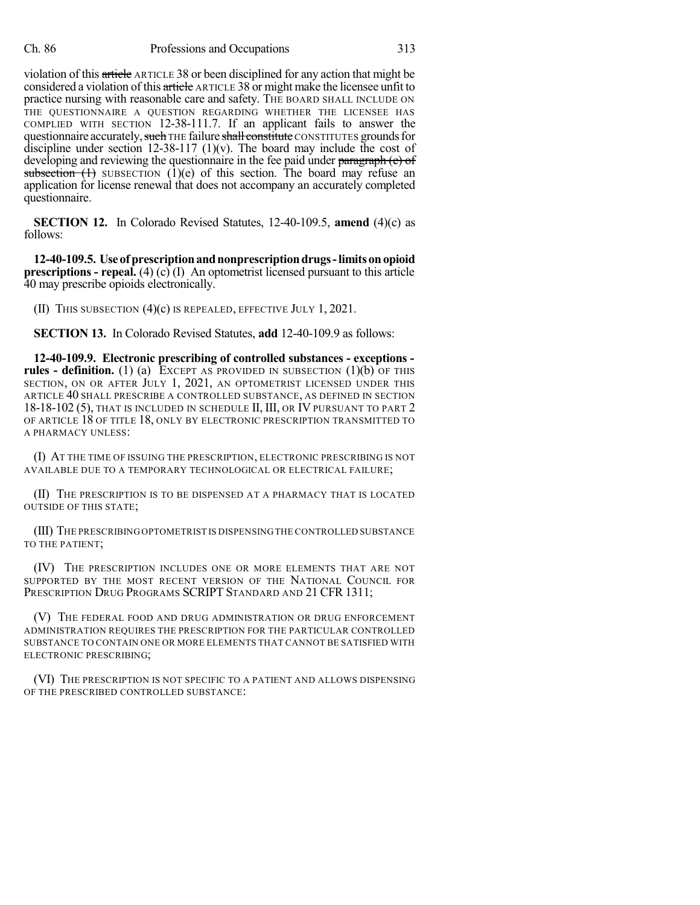violation of this article ARTICLE 38 or been disciplined for any action that might be considered a violation of this article ARTICLE 38 or might make the licensee unfit to practice nursing with reasonable care and safety. THE BOARD SHALL INCLUDE ON THE QUESTIONNAIRE A QUESTION REGARDING WHETHER THE LICENSEE HAS COMPLIED WITH SECTION 12-38-111.7. If an applicant fails to answer the questionnaire accurately, such THE failure shall constitute CONSTITUTES grounds for discipline under section 12-38-117 (1)(v). The board may include the cost of developing and reviewing the questionnaire in the fee paid under paragraph (e) of subsection  $(1)$  SUBSECTION  $(1)(e)$  of this section. The board may refuse an application for license renewal that does not accompany an accurately completed questionnaire.

**SECTION 12.** In Colorado Revised Statutes, 12-40-109.5, **amend** (4)(c) as follows:

**12-40-109.5. Useofprescriptionandnonprescriptiondrugs-limitsonopioid prescriptions - repeal.** (4) (c) (I) An optometrist licensed pursuant to this article 40 may prescribe opioids electronically.

(II) THIS SUBSECTION (4)(c) IS REPEALED, EFFECTIVE JULY 1, 2021.

**SECTION 13.** In Colorado Revised Statutes, **add** 12-40-109.9 as follows:

**12-40-109.9. Electronic prescribing of controlled substances - exceptions rules - definition.** (1) (a) EXCEPT AS PROVIDED IN SUBSECTION (1)(b) OF THIS SECTION, ON OR AFTER JULY 1, 2021, AN OPTOMETRIST LICENSED UNDER THIS ARTICLE 40 SHALL PRESCRIBE A CONTROLLED SUBSTANCE, AS DEFINED IN SECTION 18-18-102 (5), THAT IS INCLUDED IN SCHEDULE II, III, OR IV PURSUANT TO PART 2 OF ARTICLE 18 OF TITLE 18, ONLY BY ELECTRONIC PRESCRIPTION TRANSMITTED TO A PHARMACY UNLESS:

(I) AT THE TIME OF ISSUING THE PRESCRIPTION, ELECTRONIC PRESCRIBING IS NOT AVAILABLE DUE TO A TEMPORARY TECHNOLOGICAL OR ELECTRICAL FAILURE;

(II) THE PRESCRIPTION IS TO BE DISPENSED AT A PHARMACY THAT IS LOCATED OUTSIDE OF THIS STATE;

(III) THE PRESCRIBING OPTOMETRIST IS DISPENSINGTHE CONTROLLED SUBSTANCE TO THE PATIENT;

(IV) THE PRESCRIPTION INCLUDES ONE OR MORE ELEMENTS THAT ARE NOT SUPPORTED BY THE MOST RECENT VERSION OF THE NATIONAL COUNCIL FOR PRESCRIPTION DRUG PROGRAMS SCRIPT STANDARD AND 21 CFR 1311;

(V) THE FEDERAL FOOD AND DRUG ADMINISTRATION OR DRUG ENFORCEMENT ADMINISTRATION REQUIRES THE PRESCRIPTION FOR THE PARTICULAR CONTROLLED SUBSTANCE TO CONTAIN ONE OR MORE ELEMENTS THAT CANNOT BE SATISFIED WITH ELECTRONIC PRESCRIBING;

(VI) THE PRESCRIPTION IS NOT SPECIFIC TO A PATIENT AND ALLOWS DISPENSING OF THE PRESCRIBED CONTROLLED SUBSTANCE: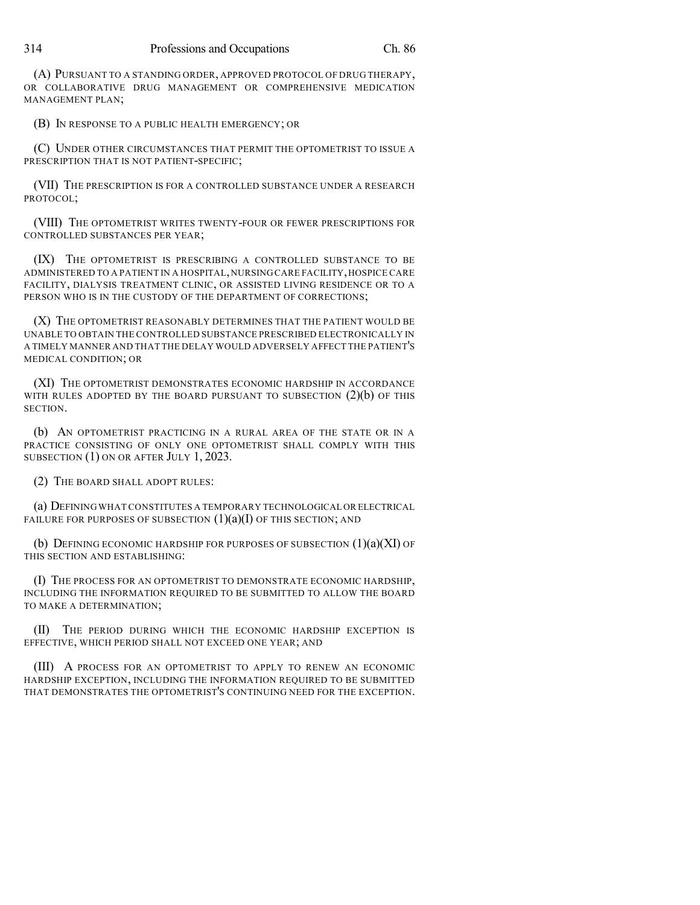(A) PURSUANT TO A STANDING ORDER, APPROVED PROTOCOL OF DRUG THERAPY, OR COLLABORATIVE DRUG MANAGEMENT OR COMPREHENSIVE MEDICATION MANAGEMENT PLAN;

(B) IN RESPONSE TO A PUBLIC HEALTH EMERGENCY; OR

(C) UNDER OTHER CIRCUMSTANCES THAT PERMIT THE OPTOMETRIST TO ISSUE A PRESCRIPTION THAT IS NOT PATIENT-SPECIFIC;

(VII) THE PRESCRIPTION IS FOR A CONTROLLED SUBSTANCE UNDER A RESEARCH PROTOCOL;

(VIII) THE OPTOMETRIST WRITES TWENTY-FOUR OR FEWER PRESCRIPTIONS FOR CONTROLLED SUBSTANCES PER YEAR;

(IX) THE OPTOMETRIST IS PRESCRIBING A CONTROLLED SUBSTANCE TO BE ADMINISTERED TO A PATIENT IN A HOSPITAL,NURSINGCARE FACILITY,HOSPICE CARE FACILITY, DIALYSIS TREATMENT CLINIC, OR ASSISTED LIVING RESIDENCE OR TO A PERSON WHO IS IN THE CUSTODY OF THE DEPARTMENT OF CORRECTIONS;

(X) THE OPTOMETRIST REASONABLY DETERMINES THAT THE PATIENT WOULD BE UNABLE TO OBTAIN THE CONTROLLED SUBSTANCE PRESCRIBED ELECTRONICALLY IN A TIMELY MANNER AND THAT THE DELAY WOULD ADVERSELY AFFECT THE PATIENT'S MEDICAL CONDITION; OR

(XI) THE OPTOMETRIST DEMONSTRATES ECONOMIC HARDSHIP IN ACCORDANCE WITH RULES ADOPTED BY THE BOARD PURSUANT TO SUBSECTION  $(2)(b)$  OF THIS SECTION.

(b) AN OPTOMETRIST PRACTICING IN A RURAL AREA OF THE STATE OR IN A PRACTICE CONSISTING OF ONLY ONE OPTOMETRIST SHALL COMPLY WITH THIS SUBSECTION (1) ON OR AFTER JULY 1, 2023.

(2) THE BOARD SHALL ADOPT RULES:

(a) DEFINING WHAT CONSTITUTES A TEMPORARY TECHNOLOGICAL OR ELECTRICAL FAILURE FOR PURPOSES OF SUBSECTION  $(1)(a)(I)$  OF THIS SECTION; AND

(b) DEFINING ECONOMIC HARDSHIP FOR PURPOSES OF SUBSECTION  $(1)(a)(XI)$  OF THIS SECTION AND ESTABLISHING:

(I) THE PROCESS FOR AN OPTOMETRIST TO DEMONSTRATE ECONOMIC HARDSHIP, INCLUDING THE INFORMATION REQUIRED TO BE SUBMITTED TO ALLOW THE BOARD TO MAKE A DETERMINATION;

(II) THE PERIOD DURING WHICH THE ECONOMIC HARDSHIP EXCEPTION IS EFFECTIVE, WHICH PERIOD SHALL NOT EXCEED ONE YEAR; AND

(III) A PROCESS FOR AN OPTOMETRIST TO APPLY TO RENEW AN ECONOMIC HARDSHIP EXCEPTION, INCLUDING THE INFORMATION REQUIRED TO BE SUBMITTED THAT DEMONSTRATES THE OPTOMETRIST'S CONTINUING NEED FOR THE EXCEPTION.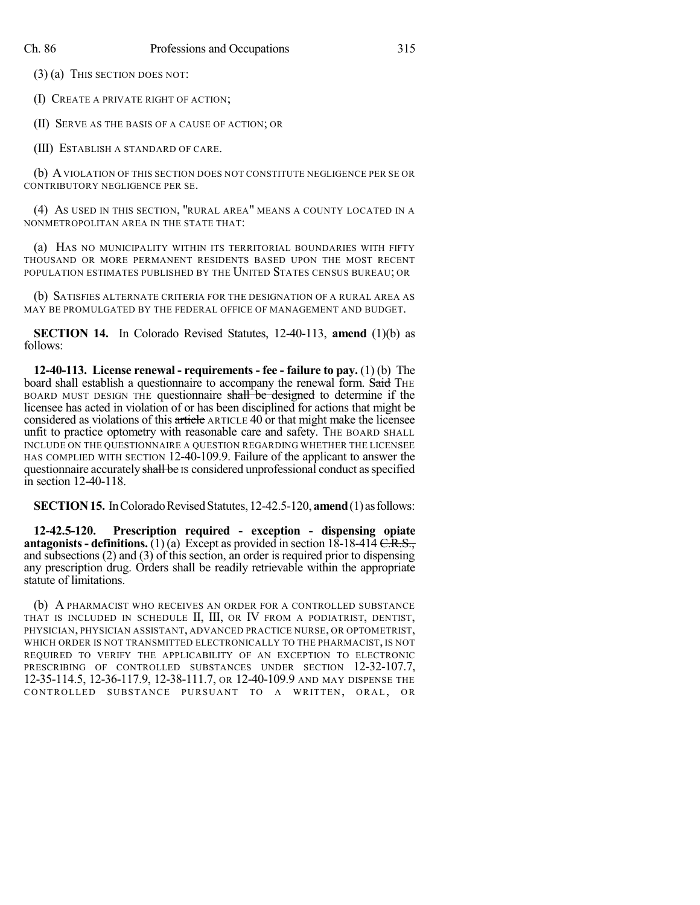(3) (a) THIS SECTION DOES NOT:

(I) CREATE A PRIVATE RIGHT OF ACTION;

(II) SERVE AS THE BASIS OF A CAUSE OF ACTION; OR

(III) ESTABLISH A STANDARD OF CARE.

(b) AVIOLATION OF THIS SECTION DOES NOT CONSTITUTE NEGLIGENCE PER SE OR CONTRIBUTORY NEGLIGENCE PER SE.

(4) AS USED IN THIS SECTION, "RURAL AREA" MEANS A COUNTY LOCATED IN A NONMETROPOLITAN AREA IN THE STATE THAT:

(a) HAS NO MUNICIPALITY WITHIN ITS TERRITORIAL BOUNDARIES WITH FIFTY THOUSAND OR MORE PERMANENT RESIDENTS BASED UPON THE MOST RECENT POPULATION ESTIMATES PUBLISHED BY THE UNITED STATES CENSUS BUREAU; OR

(b) SATISFIES ALTERNATE CRITERIA FOR THE DESIGNATION OF A RURAL AREA AS MAY BE PROMULGATED BY THE FEDERAL OFFICE OF MANAGEMENT AND BUDGET.

**SECTION 14.** In Colorado Revised Statutes, 12-40-113, **amend** (1)(b) as follows:

**12-40-113. License renewal - requirements - fee - failure to pay.** (1) (b) The board shall establish a questionnaire to accompany the renewal form. Said THE BOARD MUST DESIGN THE questionnaire shall be designed to determine if the licensee has acted in violation of or has been disciplined for actions that might be considered as violations of this article ARTICLE 40 or that might make the licensee unfit to practice optometry with reasonable care and safety. THE BOARD SHALL INCLUDE ON THE QUESTIONNAIRE A QUESTION REGARDING WHETHER THE LICENSEE HAS COMPLIED WITH SECTION 12-40-109.9. Failure of the applicant to answer the questionnaire accurately shall be IS considered unprofessional conduct as specified in section 12-40-118.

**SECTION 15.** In Colorado Revised Statutes, 12-42.5-120, **amend** (1) as follows:

**12-42.5-120. Prescription required - exception - dispensing opiate antagonists - definitions.** (1) (a) Except as provided in section  $18-18-414$  C.R.S., and subsections (2) and (3) of this section, an order is required prior to dispensing any prescription drug. Orders shall be readily retrievable within the appropriate statute of limitations.

(b) A PHARMACIST WHO RECEIVES AN ORDER FOR A CONTROLLED SUBSTANCE THAT IS INCLUDED IN SCHEDULE II, III, OR IV FROM A PODIATRIST, DENTIST, PHYSICIAN, PHYSICIAN ASSISTANT, ADVANCED PRACTICE NURSE, OR OPTOMETRIST, WHICH ORDER IS NOT TRANSMITTED ELECTRONICALLY TO THE PHARMACIST, IS NOT REQUIRED TO VERIFY THE APPLICABILITY OF AN EXCEPTION TO ELECTRONIC PRESCRIBING OF CONTROLLED SUBSTANCES UNDER SECTION 12-32-107.7, 12-35-114.5, 12-36-117.9, 12-38-111.7, OR 12-40-109.9 AND MAY DISPENSE THE CONTROLLED SUBSTANCE PURSUANT TO A WRITTEN, ORAL, OR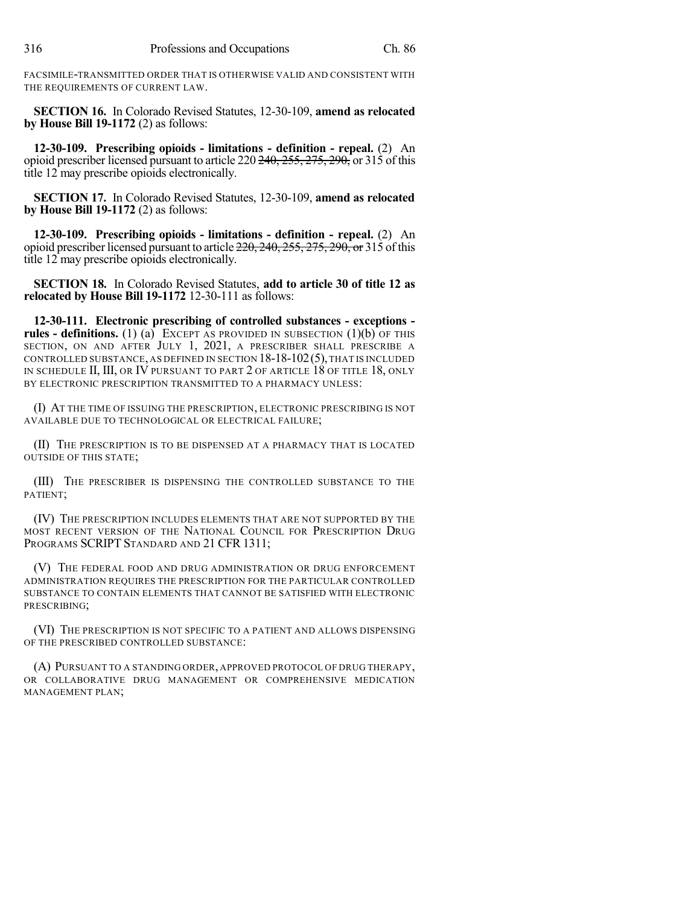FACSIMILE-TRANSMITTED ORDER THAT IS OTHERWISE VALID AND CONSISTENT WITH THE REQUIREMENTS OF CURRENT LAW.

**SECTION 16.** In Colorado Revised Statutes, 12-30-109, **amend as relocated by House Bill 19-1172** (2) as follows:

**12-30-109. Prescribing opioids - limitations - definition - repeal.** (2) An opioid prescriber licensed pursuant to article 220 240, 255, 275, 290, or 315 of this title 12 may prescribe opioids electronically.

**SECTION 17.** In Colorado Revised Statutes, 12-30-109, **amend as relocated by House Bill 19-1172** (2) as follows:

**12-30-109. Prescribing opioids - limitations - definition - repeal.** (2) An opioid prescriber licensed pursuant to article  $220$ ,  $240$ ,  $255$ ,  $275$ ,  $290$ , or 315 of this title 12 may prescribe opioids electronically.

**SECTION 18.** In Colorado Revised Statutes, **add to article 30 of title 12 as relocated by House Bill 19-1172** 12-30-111 as follows:

**12-30-111. Electronic prescribing of controlled substances - exceptions rules - definitions.** (1) (a) EXCEPT AS PROVIDED IN SUBSECTION (1)(b) OF THIS SECTION, ON AND AFTER JULY 1, 2021, A PRESCRIBER SHALL PRESCRIBE A CONTROLLED SUBSTANCE, AS DEFINED IN SECTION  $18-18-102(5)$ , THAT IS INCLUDED IN SCHEDULE II, III, OR IV PURSUANT TO PART 2 OF ARTICLE 18 OF TITLE 18, ONLY BY ELECTRONIC PRESCRIPTION TRANSMITTED TO A PHARMACY UNLESS:

(I) AT THE TIME OF ISSUING THE PRESCRIPTION, ELECTRONIC PRESCRIBING IS NOT AVAILABLE DUE TO TECHNOLOGICAL OR ELECTRICAL FAILURE;

(II) THE PRESCRIPTION IS TO BE DISPENSED AT A PHARMACY THAT IS LOCATED OUTSIDE OF THIS STATE;

(III) THE PRESCRIBER IS DISPENSING THE CONTROLLED SUBSTANCE TO THE PATIENT;

(IV) THE PRESCRIPTION INCLUDES ELEMENTS THAT ARE NOT SUPPORTED BY THE MOST RECENT VERSION OF THE NATIONAL COUNCIL FOR PRESCRIPTION DRUG PROGRAMS SCRIPT STANDARD AND 21 CFR 1311;

(V) THE FEDERAL FOOD AND DRUG ADMINISTRATION OR DRUG ENFORCEMENT ADMINISTRATION REQUIRES THE PRESCRIPTION FOR THE PARTICULAR CONTROLLED SUBSTANCE TO CONTAIN ELEMENTS THAT CANNOT BE SATISFIED WITH ELECTRONIC PRESCRIBING;

(VI) THE PRESCRIPTION IS NOT SPECIFIC TO A PATIENT AND ALLOWS DISPENSING OF THE PRESCRIBED CONTROLLED SUBSTANCE:

(A) PURSUANT TO A STANDING ORDER, APPROVED PROTOCOL OF DRUG THERAPY, OR COLLABORATIVE DRUG MANAGEMENT OR COMPREHENSIVE MEDICATION MANAGEMENT PLAN;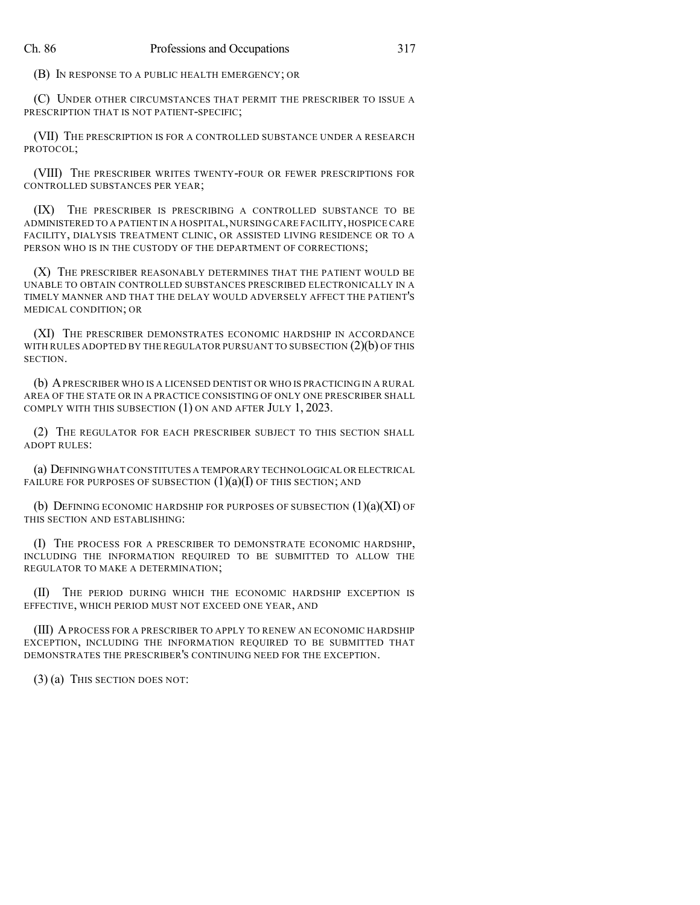(B) IN RESPONSE TO A PUBLIC HEALTH EMERGENCY; OR

(C) UNDER OTHER CIRCUMSTANCES THAT PERMIT THE PRESCRIBER TO ISSUE A PRESCRIPTION THAT IS NOT PATIENT-SPECIFIC;

(VII) THE PRESCRIPTION IS FOR A CONTROLLED SUBSTANCE UNDER A RESEARCH PROTOCOL;

(VIII) THE PRESCRIBER WRITES TWENTY-FOUR OR FEWER PRESCRIPTIONS FOR CONTROLLED SUBSTANCES PER YEAR;

(IX) THE PRESCRIBER IS PRESCRIBING A CONTROLLED SUBSTANCE TO BE ADMINISTERED TO A PATIENT IN A HOSPITAL,NURSING CARE FACILITY,HOSPICE CARE FACILITY, DIALYSIS TREATMENT CLINIC, OR ASSISTED LIVING RESIDENCE OR TO A PERSON WHO IS IN THE CUSTODY OF THE DEPARTMENT OF CORRECTIONS;

(X) THE PRESCRIBER REASONABLY DETERMINES THAT THE PATIENT WOULD BE UNABLE TO OBTAIN CONTROLLED SUBSTANCES PRESCRIBED ELECTRONICALLY IN A TIMELY MANNER AND THAT THE DELAY WOULD ADVERSELY AFFECT THE PATIENT'S MEDICAL CONDITION; OR

(XI) THE PRESCRIBER DEMONSTRATES ECONOMIC HARDSHIP IN ACCORDANCE WITH RULES ADOPTED BY THE REGULATOR PURSUANT TO SUBSECTION  $(2)(b)$  OF THIS SECTION.

(b) APRESCRIBER WHO IS A LICENSED DENTIST OR WHO IS PRACTICING IN A RURAL AREA OF THE STATE OR IN A PRACTICE CONSISTING OF ONLY ONE PRESCRIBER SHALL COMPLY WITH THIS SUBSECTION (1) ON AND AFTER JULY 1, 2023.

(2) THE REGULATOR FOR EACH PRESCRIBER SUBJECT TO THIS SECTION SHALL ADOPT RULES:

(a) DEFININGWHAT CONSTITUTES A TEMPORARY TECHNOLOGICAL OR ELECTRICAL FAILURE FOR PURPOSES OF SUBSECTION  $(1)(a)(I)$  OF THIS SECTION; AND

(b) DEFINING ECONOMIC HARDSHIP FOR PURPOSES OF SUBSECTION  $(1)(a)(XI)$  OF THIS SECTION AND ESTABLISHING:

(I) THE PROCESS FOR A PRESCRIBER TO DEMONSTRATE ECONOMIC HARDSHIP, INCLUDING THE INFORMATION REQUIRED TO BE SUBMITTED TO ALLOW THE REGULATOR TO MAKE A DETERMINATION;

(II) THE PERIOD DURING WHICH THE ECONOMIC HARDSHIP EXCEPTION IS EFFECTIVE, WHICH PERIOD MUST NOT EXCEED ONE YEAR, AND

(III) APROCESS FOR A PRESCRIBER TO APPLY TO RENEW AN ECONOMIC HARDSHIP EXCEPTION, INCLUDING THE INFORMATION REQUIRED TO BE SUBMITTED THAT DEMONSTRATES THE PRESCRIBER'S CONTINUING NEED FOR THE EXCEPTION.

(3) (a) THIS SECTION DOES NOT: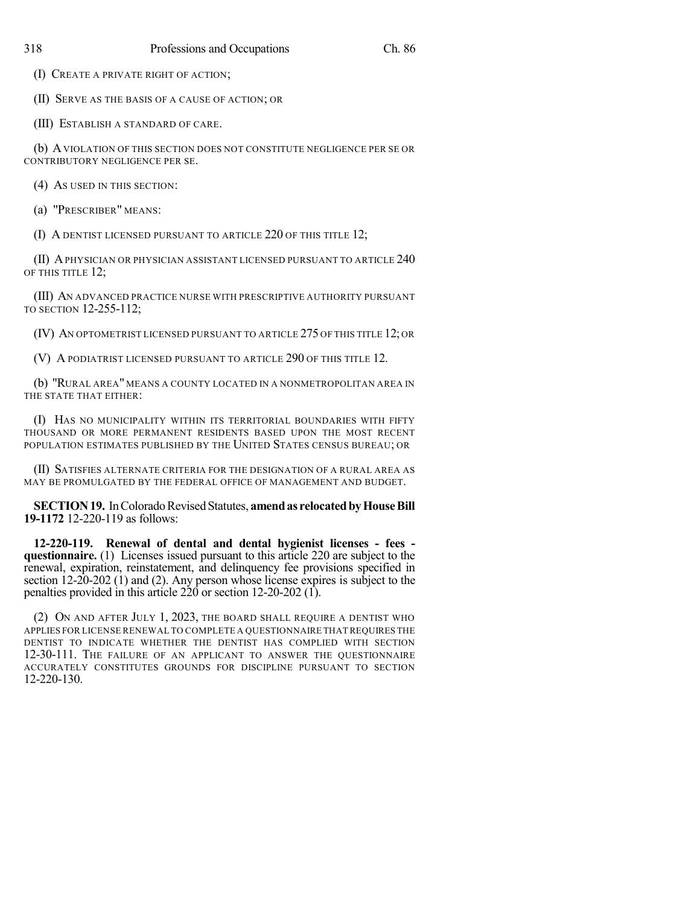(I) CREATE A PRIVATE RIGHT OF ACTION;

(II) SERVE AS THE BASIS OF A CAUSE OF ACTION; OR

(III) ESTABLISH A STANDARD OF CARE.

(b) AVIOLATION OF THIS SECTION DOES NOT CONSTITUTE NEGLIGENCE PER SE OR CONTRIBUTORY NEGLIGENCE PER SE.

(4) AS USED IN THIS SECTION:

(a) "PRESCRIBER" MEANS:

(I) A DENTIST LICENSED PURSUANT TO ARTICLE 220 OF THIS TITLE 12;

(II) APHYSICIAN OR PHYSICIAN ASSISTANT LICENSED PURSUANT TO ARTICLE 240 OF THIS TITLE 12;

(III) AN ADVANCED PRACTICE NURSE WITH PRESCRIPTIVE AUTHORITY PURSUANT TO SECTION 12-255-112;

(IV) AN OPTOMETRIST LICENSED PURSUANT TO ARTICLE 275 OF THIS TITLE 12; OR

(V) A PODIATRIST LICENSED PURSUANT TO ARTICLE 290 OF THIS TITLE 12.

(b) "RURAL AREA" MEANS A COUNTY LOCATED IN A NONMETROPOLITAN AREA IN THE STATE THAT EITHER:

(I) HAS NO MUNICIPALITY WITHIN ITS TERRITORIAL BOUNDARIES WITH FIFTY THOUSAND OR MORE PERMANENT RESIDENTS BASED UPON THE MOST RECENT POPULATION ESTIMATES PUBLISHED BY THE UNITED STATES CENSUS BUREAU; OR

(II) SATISFIES ALTERNATE CRITERIA FOR THE DESIGNATION OF A RURAL AREA AS MAY BE PROMULGATED BY THE FEDERAL OFFICE OF MANAGEMENT AND BUDGET.

**SECTION 19.** In Colorado Revised Statutes, **amend as relocated by House Bill 19-1172** 12-220-119 as follows:

**12-220-119. Renewal of dental and dental hygienist licenses - fees questionnaire.** (1) Licenses issued pursuant to this article 220 are subject to the renewal, expiration, reinstatement, and delinquency fee provisions specified in section 12-20-202 (1) and (2). Any person whose license expires is subject to the penalties provided in this article 220 or section 12-20-202 (1).

(2) ON AND AFTER JULY 1, 2023, THE BOARD SHALL REQUIRE A DENTIST WHO APPLIES FOR LICENSE RENEWAL TO COMPLETE A QUESTIONNAIRE THAT REQUIRES THE DENTIST TO INDICATE WHETHER THE DENTIST HAS COMPLIED WITH SECTION 12-30-111. THE FAILURE OF AN APPLICANT TO ANSWER THE QUESTIONNAIRE ACCURATELY CONSTITUTES GROUNDS FOR DISCIPLINE PURSUANT TO SECTION 12-220-130.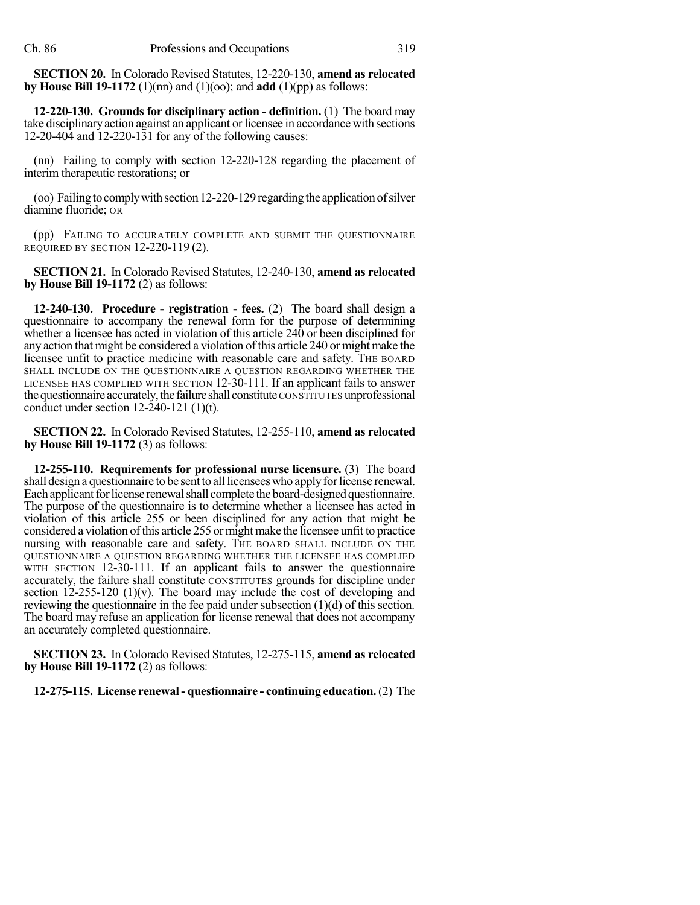**SECTION 20.** In Colorado Revised Statutes, 12-220-130, **amend as relocated by House Bill 19-1172** (1)(nn) and (1)(oo); and **add** (1)(pp) as follows:

**12-220-130. Grounds for disciplinary action - definition.** (1) The board may take disciplinary action against an applicant orlicensee in accordance with sections 12-20-404 and 12-220-131 for any of the following causes:

(nn) Failing to comply with section 12-220-128 regarding the placement of interim therapeutic restorations; or

(oo) Failing to comply with section 12-220-129 regarding the application of silver diamine fluoride; OR

(pp) FAILING TO ACCURATELY COMPLETE AND SUBMIT THE QUESTIONNAIRE REQUIRED BY SECTION 12-220-119 (2).

**SECTION 21.** In Colorado Revised Statutes, 12-240-130, **amend as relocated by House Bill 19-1172** (2) as follows:

**12-240-130. Procedure - registration - fees.** (2) The board shall design a questionnaire to accompany the renewal form for the purpose of determining whether a licensee has acted in violation of this article 240 or been disciplined for any action that might be considered a violation of this article 240 or might make the licensee unfit to practice medicine with reasonable care and safety. THE BOARD SHALL INCLUDE ON THE QUESTIONNAIRE A QUESTION REGARDING WHETHER THE LICENSEE HAS COMPLIED WITH SECTION 12-30-111. If an applicant fails to answer the questionnaire accurately, the failure shall constitute CONSTITUTES unprofessional conduct under section  $12-240-121$  (1)(t).

**SECTION 22.** In Colorado Revised Statutes, 12-255-110, **amend as relocated by House Bill 19-1172** (3) as follows:

**12-255-110. Requirements for professional nurse licensure.** (3) The board shall design a questionnaire to be sent to all licensees who apply for license renewal. Each applicant for license renewal shall complete the board-designed questionnaire. The purpose of the questionnaire is to determine whether a licensee has acted in violation of this article 255 or been disciplined for any action that might be considered a violation of this article 255 or might make the licensee unfit to practice nursing with reasonable care and safety. THE BOARD SHALL INCLUDE ON THE QUESTIONNAIRE A QUESTION REGARDING WHETHER THE LICENSEE HAS COMPLIED WITH SECTION 12-30-111. If an applicant fails to answer the questionnaire accurately, the failure shall constitute CONSTITUTES grounds for discipline under section  $12-255-120$  (1)(v). The board may include the cost of developing and reviewing the questionnaire in the fee paid under subsection (1)(d) of this section. The board may refuse an application for license renewal that does not accompany an accurately completed questionnaire.

**SECTION 23.** In Colorado Revised Statutes, 12-275-115, **amend as relocated by House Bill 19-1172** (2) as follows:

**12-275-115. License renewal- questionnaire - continuing education.**(2) The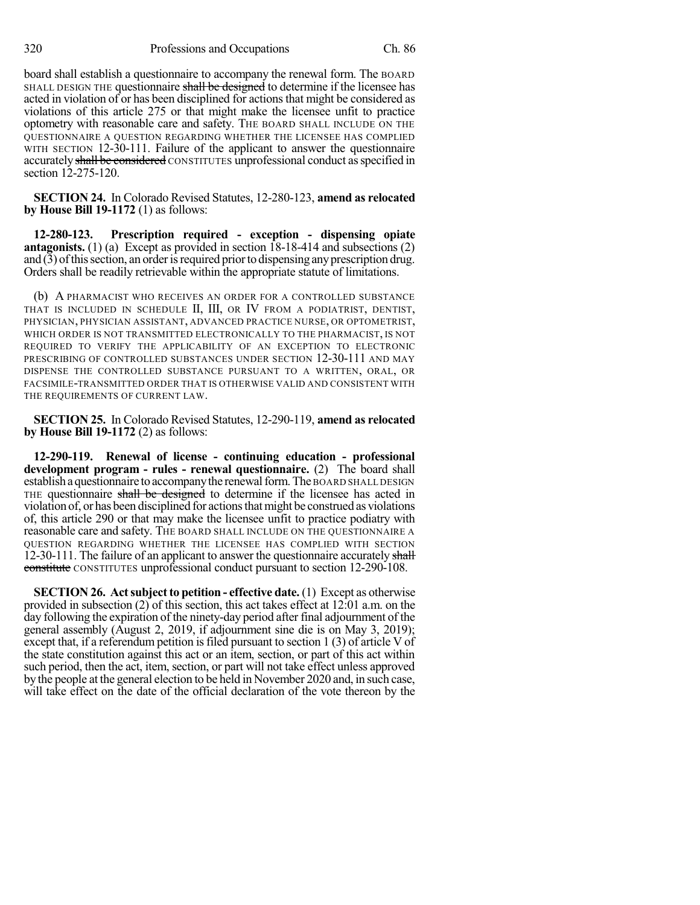board shall establish a questionnaire to accompany the renewal form. The BOARD SHALL DESIGN THE questionnaire shall be designed to determine if the licensee has acted in violation of or has been disciplined for actionsthat might be considered as violations of this article 275 or that might make the licensee unfit to practice optometry with reasonable care and safety. THE BOARD SHALL INCLUDE ON THE QUESTIONNAIRE A QUESTION REGARDING WHETHER THE LICENSEE HAS COMPLIED WITH SECTION 12-30-111. Failure of the applicant to answer the questionnaire accurately shall be considered CONSTITUTES unprofessional conduct as specified in section 12-275-120.

**SECTION 24.** In Colorado Revised Statutes, 12-280-123, **amend as relocated by House Bill 19-1172** (1) as follows:

**12-280-123. Prescription required - exception - dispensing opiate antagonists.** (1) (a) Except as provided in section 18-18-414 and subsections (2) and  $(3)$  of this section, an order is required prior to dispensing any prescription drug. Orders shall be readily retrievable within the appropriate statute of limitations.

(b) A PHARMACIST WHO RECEIVES AN ORDER FOR A CONTROLLED SUBSTANCE THAT IS INCLUDED IN SCHEDULE II, III, OR IV FROM A PODIATRIST, DENTIST, PHYSICIAN, PHYSICIAN ASSISTANT, ADVANCED PRACTICE NURSE, OR OPTOMETRIST, WHICH ORDER IS NOT TRANSMITTED ELECTRONICALLY TO THE PHARMACIST, IS NOT REQUIRED TO VERIFY THE APPLICABILITY OF AN EXCEPTION TO ELECTRONIC PRESCRIBING OF CONTROLLED SUBSTANCES UNDER SECTION 12-30-111 AND MAY DISPENSE THE CONTROLLED SUBSTANCE PURSUANT TO A WRITTEN, ORAL, OR FACSIMILE-TRANSMITTED ORDER THAT IS OTHERWISE VALID AND CONSISTENT WITH THE REQUIREMENTS OF CURRENT LAW.

**SECTION 25.** In Colorado Revised Statutes, 12-290-119, **amend as relocated by House Bill 19-1172** (2) as follows:

**12-290-119. Renewal of license - continuing education - professional development program - rules - renewal questionnaire.** (2) The board shall establish a questionnaire to accompany the renewal form. The BOARD SHALL DESIGN THE questionnaire shall be designed to determine if the licensee has acted in violation of, or has been disciplined for actionsthatmight be construed as violations of, this article 290 or that may make the licensee unfit to practice podiatry with reasonable care and safety. THE BOARD SHALL INCLUDE ON THE QUESTIONNAIRE A QUESTION REGARDING WHETHER THE LICENSEE HAS COMPLIED WITH SECTION 12-30-111. The failure of an applicant to answer the questionnaire accurately shall constitute CONSTITUTES unprofessional conduct pursuant to section 12-290-108.

**SECTION 26.** Act subject to petition - effective date. (1) Except as otherwise provided in subsection (2) of this section, this act takes effect at 12:01 a.m. on the day following the expiration of the ninety-day period after final adjournment of the general assembly (August 2, 2019, if adjournment sine die is on May 3, 2019); except that, if a referendum petition isfiled pursuant to section 1 (3) of article V of the state constitution against this act or an item, section, or part of this act within such period, then the act, item, section, or part will not take effect unless approved by the people at the general election to be held in November 2020 and, in such case, will take effect on the date of the official declaration of the vote thereon by the